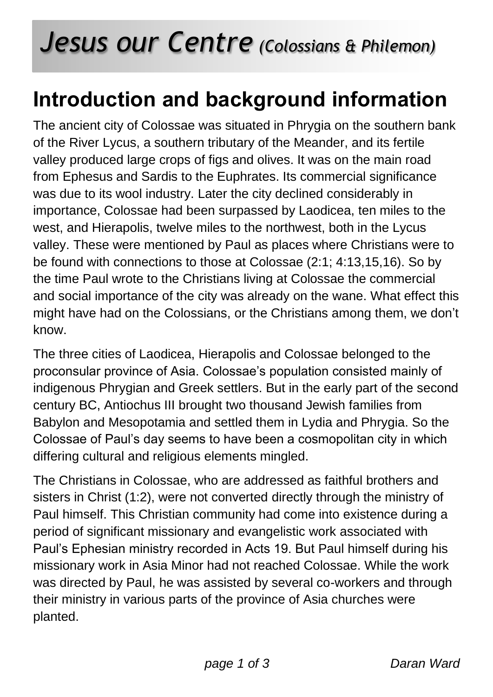## *Jesus our Centre (Colossians & Philemon)*

## **Introduction and background information**

The ancient city of Colossae was situated in Phrygia on the southern bank of the River Lycus, a southern tributary of the Meander, and its fertile valley produced large crops of figs and olives. It was on the main road from Ephesus and Sardis to the Euphrates. Its commercial significance was due to its wool industry. Later the city declined considerably in importance, Colossae had been surpassed by Laodicea, ten miles to the west, and Hierapolis, twelve miles to the northwest, both in the Lycus valley. These were mentioned by Paul as places where Christians were to be found with connections to those at Colossae (2:1; 4:13,15,16). So by the time Paul wrote to the Christians living at Colossae the commercial and social importance of the city was already on the wane. What effect this might have had on the Colossians, or the Christians among them, we don't know.

The three cities of Laodicea, Hierapolis and Colossae belonged to the proconsular province of Asia. Colossae's population consisted mainly of indigenous Phrygian and Greek settlers. But in the early part of the second century BC, Antiochus III brought two thousand Jewish families from Babylon and Mesopotamia and settled them in Lydia and Phrygia. So the Colossae of Paul's day seems to have been a cosmopolitan city in which differing cultural and religious elements mingled.

The Christians in Colossae, who are addressed as faithful brothers and sisters in Christ (1:2), were not converted directly through the ministry of Paul himself. This Christian community had come into existence during a period of significant missionary and evangelistic work associated with Paul's Ephesian ministry recorded in Acts 19. But Paul himself during his missionary work in Asia Minor had not reached Colossae. While the work was directed by Paul, he was assisted by several co-workers and through their ministry in various parts of the province of Asia churches were planted.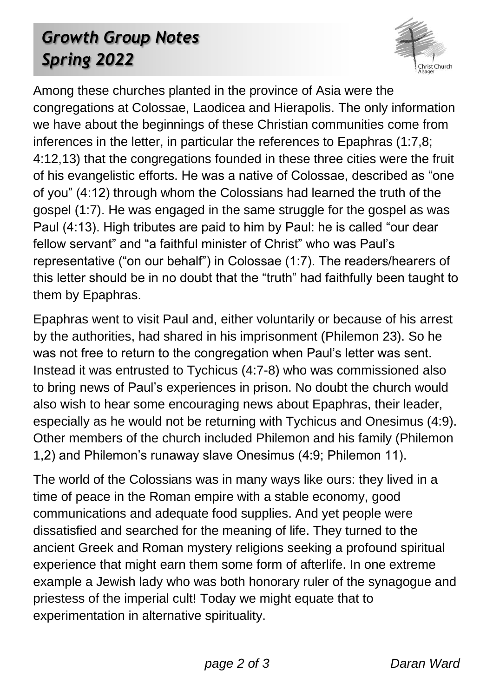## *Growth Group Notes Spring 2022*



Among these churches planted in the province of Asia were the congregations at Colossae, Laodicea and Hierapolis. The only information we have about the beginnings of these Christian communities come from inferences in the letter, in particular the references to Epaphras (1:7,8; 4:12,13) that the congregations founded in these three cities were the fruit of his evangelistic efforts. He was a native of Colossae, described as "one of you" (4:12) through whom the Colossians had learned the truth of the gospel (1:7). He was engaged in the same struggle for the gospel as was Paul (4:13). High tributes are paid to him by Paul: he is called "our dear fellow servant" and "a faithful minister of Christ" who was Paul's representative ("on our behalf") in Colossae (1:7). The readers/hearers of this letter should be in no doubt that the "truth" had faithfully been taught to them by Epaphras.

Epaphras went to visit Paul and, either voluntarily or because of his arrest by the authorities, had shared in his imprisonment (Philemon 23). So he was not free to return to the congregation when Paul's letter was sent. Instead it was entrusted to Tychicus (4:7-8) who was commissioned also to bring news of Paul's experiences in prison. No doubt the church would also wish to hear some encouraging news about Epaphras, their leader, especially as he would not be returning with Tychicus and Onesimus (4:9). Other members of the church included Philemon and his family (Philemon 1,2) and Philemon's runaway slave Onesimus (4:9; Philemon 11).

The world of the Colossians was in many ways like ours: they lived in a time of peace in the Roman empire with a stable economy, good communications and adequate food supplies. And yet people were dissatisfied and searched for the meaning of life. They turned to the ancient Greek and Roman mystery religions seeking a profound spiritual experience that might earn them some form of afterlife. In one extreme example a Jewish lady who was both honorary ruler of the synagogue and priestess of the imperial cult! Today we might equate that to experimentation in alternative spirituality.